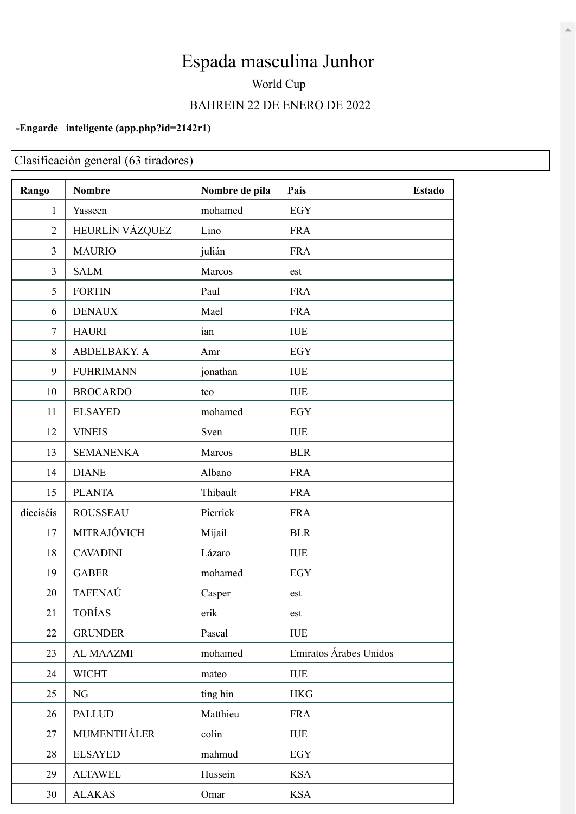## Espada masculina Junhor

## World Cup BAHREIN 22 DE ENERO DE 2022

## -Engarde inteligente (app.php?id=2142r1)

Clasificación general (63 tiradores)

| Rango          | <b>Nombre</b>    | Nombre de pila | País                   | <b>Estado</b> |
|----------------|------------------|----------------|------------------------|---------------|
| $\mathbf{1}$   | Yasseen          | mohamed        | <b>EGY</b>             |               |
| $\overline{2}$ | HEURLÍN VÁZQUEZ  | Lino           | <b>FRA</b>             |               |
| 3              | <b>MAURIO</b>    | julián         | <b>FRA</b>             |               |
| 3              | <b>SALM</b>      | Marcos         | est                    |               |
| 5              | <b>FORTIN</b>    | Paul           | <b>FRA</b>             |               |
| 6              | <b>DENAUX</b>    | Mael           | <b>FRA</b>             |               |
| $\tau$         | <b>HAURI</b>     | ian            | <b>IUE</b>             |               |
| 8              | ABDELBAKY. A     | Amr            | <b>EGY</b>             |               |
| 9              | <b>FUHRIMANN</b> | jonathan       | <b>IUE</b>             |               |
| 10             | <b>BROCARDO</b>  | teo            | <b>IUE</b>             |               |
| 11             | <b>ELSAYED</b>   | mohamed        | <b>EGY</b>             |               |
| 12             | <b>VINEIS</b>    | Sven           | <b>IUE</b>             |               |
| 13             | <b>SEMANENKA</b> | Marcos         | <b>BLR</b>             |               |
| 14             | <b>DIANE</b>     | Albano         | <b>FRA</b>             |               |
| 15             | <b>PLANTA</b>    | Thibault       | <b>FRA</b>             |               |
| dieciséis      | <b>ROUSSEAU</b>  | Pierrick       | <b>FRA</b>             |               |
| 17             | MITRAJÓVICH      | Mijaíl         | <b>BLR</b>             |               |
| 18             | <b>CAVADINI</b>  | Lázaro         | $\rm IUE$              |               |
| 19             | <b>GABER</b>     | mohamed        | <b>EGY</b>             |               |
| 20             | TAFENAÚ          | Casper         | est                    |               |
| 21             | <b>TOBÍAS</b>    | erik           | est                    |               |
| 22             | <b>GRUNDER</b>   | Pascal         | <b>IUE</b>             |               |
| 23             | <b>AL MAAZMI</b> | mohamed        | Emiratos Árabes Unidos |               |
| 24             | <b>WICHT</b>     | mateo          | <b>IUE</b>             |               |
| 25             | NG               | ting hin       | <b>HKG</b>             |               |
| 26             | <b>PALLUD</b>    | Matthieu       | <b>FRA</b>             |               |
| 27             | MUMENTHÁLER      | colin          | <b>IUE</b>             |               |
| 28             | <b>ELSAYED</b>   | mahmud         | EGY                    |               |
| 29             | <b>ALTAWEL</b>   | Hussein        | <b>KSA</b>             |               |
| 30             | <b>ALAKAS</b>    | Omar           | <b>KSA</b>             |               |